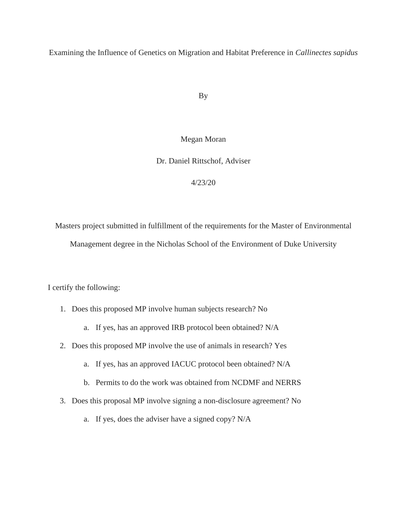Examining the Influence of Genetics on Migration and Habitat Preference in *Callinectes sapidus*

By

#### Megan Moran

Dr. Daniel Rittschof, Adviser

4/23/20

Masters project submitted in fulfillment of the requirements for the Master of Environmental Management degree in the Nicholas School of the Environment of Duke University

I certify the following:

- 1. Does this proposed MP involve human subjects research? No
	- a. If yes, has an approved IRB protocol been obtained? N/A
- 2. Does this proposed MP involve the use of animals in research? Yes
	- a. If yes, has an approved IACUC protocol been obtained? N/A
	- b. Permits to do the work was obtained from NCDMF and NERRS
- 3. Does this proposal MP involve signing a non-disclosure agreement? No
	- a. If yes, does the adviser have a signed copy? N/A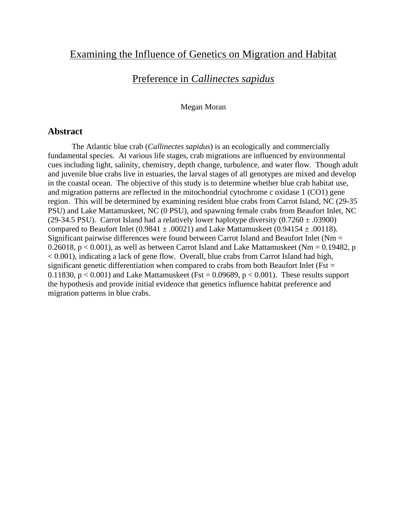# Examining the Influence of Genetics on Migration and Habitat

# Preference in *Callinectes sapidus*

#### Megan Moran

### **Abstract**

The Atlantic blue crab (*Callinectes sapidus*) is an ecologically and commercially fundamental species. At various life stages, crab migrations are influenced by environmental cues including light, salinity, chemistry, depth change, turbulence, and water flow. Though adult and juvenile blue crabs live in estuaries, the larval stages of all genotypes are mixed and develop in the coastal ocean. The objective of this study is to determine whether blue crab habitat use, and migration patterns are reflected in the mitochondrial cytochrome c oxidase 1 (CO1) gene region. This will be determined by examining resident blue crabs from Carrot Island, NC (29-35 PSU) and Lake Mattamuskeet, NC (0 PSU), and spawning female crabs from Beaufort Inlet, NC (29-34.5 PSU). Carrot Island had a relatively lower haplotype diversity  $(0.7260 \pm .03900)$ compared to Beaufort Inlet (0.9841  $\pm$  .00021) and Lake Mattamuskeet (0.94154  $\pm$  .00118). Significant pairwise differences were found between Carrot Island and Beaufort Inlet (Nm = 0.26018,  $p < 0.001$ ), as well as between Carrot Island and Lake Mattamuskeet (Nm = 0.19482, p < 0.001), indicating a lack of gene flow. Overall, blue crabs from Carrot Island had high, significant genetic differentiation when compared to crabs from both Beaufort Inlet ( $Fst =$ 0.11830,  $p < 0.001$  and Lake Mattamuskeet (Fst = 0.09689,  $p < 0.001$ ). These results support the hypothesis and provide initial evidence that genetics influence habitat preference and migration patterns in blue crabs.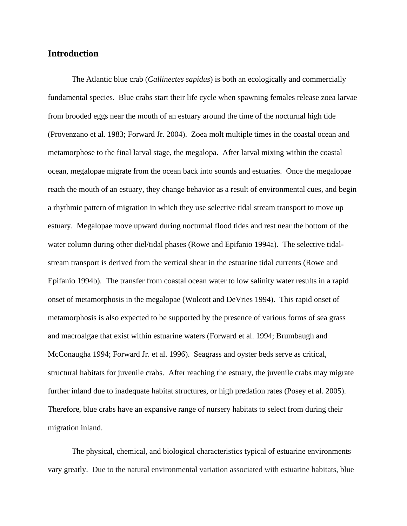### **Introduction**

The Atlantic blue crab (*Callinectes sapidus*) is both an ecologically and commercially fundamental species. Blue crabs start their life cycle when spawning females release zoea larvae from brooded eggs near the mouth of an estuary around the time of the nocturnal high tide (Provenzano et al. 1983; Forward Jr. 2004). Zoea molt multiple times in the coastal ocean and metamorphose to the final larval stage, the megalopa. After larval mixing within the coastal ocean, megalopae migrate from the ocean back into sounds and estuaries. Once the megalopae reach the mouth of an estuary, they change behavior as a result of environmental cues, and begin a rhythmic pattern of migration in which they use selective tidal stream transport to move up estuary. Megalopae move upward during nocturnal flood tides and rest near the bottom of the water column during other diel/tidal phases (Rowe and Epifanio 1994a). The selective tidalstream transport is derived from the vertical shear in the estuarine tidal currents (Rowe and Epifanio 1994b). The transfer from coastal ocean water to low salinity water results in a rapid onset of metamorphosis in the megalopae (Wolcott and DeVries 1994). This rapid onset of metamorphosis is also expected to be supported by the presence of various forms of sea grass and macroalgae that exist within estuarine waters (Forward et al. 1994; Brumbaugh and McConaugha 1994; Forward Jr. et al. 1996). Seagrass and oyster beds serve as critical, structural habitats for juvenile crabs. After reaching the estuary, the juvenile crabs may migrate further inland due to inadequate habitat structures, or high predation rates (Posey et al. 2005). Therefore, blue crabs have an expansive range of nursery habitats to select from during their migration inland.

The physical, chemical, and biological characteristics typical of estuarine environments vary greatly. Due to the natural environmental variation associated with estuarine habitats, blue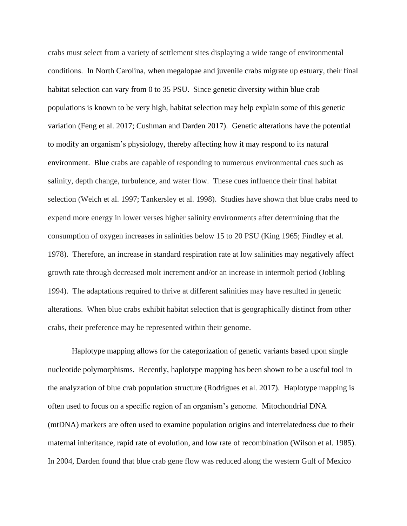crabs must select from a variety of settlement sites displaying a wide range of environmental conditions. In North Carolina, when megalopae and juvenile crabs migrate up estuary, their final habitat selection can vary from 0 to 35 PSU. Since genetic diversity within blue crab populations is known to be very high, habitat selection may help explain some of this genetic variation (Feng et al. 2017; Cushman and Darden 2017). Genetic alterations have the potential to modify an organism's physiology, thereby affecting how it may respond to its natural environment. Blue crabs are capable of responding to numerous environmental cues such as salinity, depth change, turbulence, and water flow. These cues influence their final habitat selection (Welch et al. 1997; Tankersley et al. 1998). Studies have shown that blue crabs need to expend more energy in lower verses higher salinity environments after determining that the consumption of oxygen increases in salinities below 15 to 20 PSU (King 1965; Findley et al. 1978). Therefore, an increase in standard respiration rate at low salinities may negatively affect growth rate through decreased molt increment and/or an increase in intermolt period (Jobling 1994). The adaptations required to thrive at different salinities may have resulted in genetic alterations. When blue crabs exhibit habitat selection that is geographically distinct from other crabs, their preference may be represented within their genome.

Haplotype mapping allows for the categorization of genetic variants based upon single nucleotide polymorphisms. Recently, haplotype mapping has been shown to be a useful tool in the analyzation of blue crab population structure (Rodrigues et al. 2017). Haplotype mapping is often used to focus on a specific region of an organism's genome. Mitochondrial DNA (mtDNA) markers are often used to examine population origins and interrelatedness due to their maternal inheritance, rapid rate of evolution, and low rate of recombination (Wilson et al. 1985). In 2004, Darden found that blue crab gene flow was reduced along the western Gulf of Mexico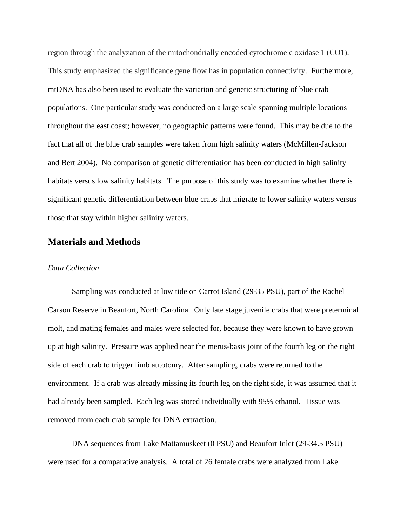region through the analyzation of the mitochondrially encoded cytochrome c oxidase 1 (CO1). This study emphasized the significance gene flow has in population connectivity. Furthermore, mtDNA has also been used to evaluate the variation and genetic structuring of blue crab populations. One particular study was conducted on a large scale spanning multiple locations throughout the east coast; however, no geographic patterns were found. This may be due to the fact that all of the blue crab samples were taken from high salinity waters (McMillen-Jackson and Bert 2004). No comparison of genetic differentiation has been conducted in high salinity habitats versus low salinity habitats. The purpose of this study was to examine whether there is significant genetic differentiation between blue crabs that migrate to lower salinity waters versus those that stay within higher salinity waters.

### **Materials and Methods**

#### *Data Collection*

Sampling was conducted at low tide on Carrot Island (29-35 PSU), part of the Rachel Carson Reserve in Beaufort, North Carolina. Only late stage juvenile crabs that were preterminal molt, and mating females and males were selected for, because they were known to have grown up at high salinity. Pressure was applied near the merus-basis joint of the fourth leg on the right side of each crab to trigger limb autotomy. After sampling, crabs were returned to the environment. If a crab was already missing its fourth leg on the right side, it was assumed that it had already been sampled. Each leg was stored individually with 95% ethanol. Tissue was removed from each crab sample for DNA extraction.

DNA sequences from Lake Mattamuskeet (0 PSU) and Beaufort Inlet (29-34.5 PSU) were used for a comparative analysis. A total of 26 female crabs were analyzed from Lake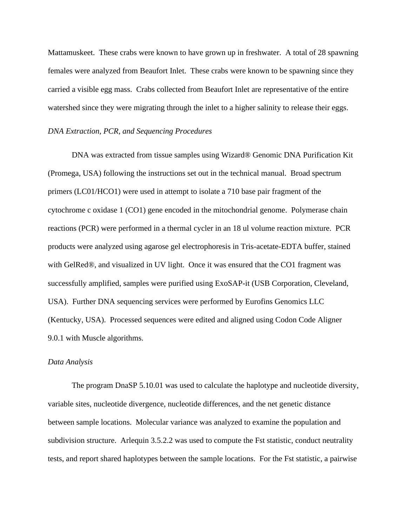Mattamuskeet. These crabs were known to have grown up in freshwater. A total of 28 spawning females were analyzed from Beaufort Inlet. These crabs were known to be spawning since they carried a visible egg mass. Crabs collected from Beaufort Inlet are representative of the entire watershed since they were migrating through the inlet to a higher salinity to release their eggs.

#### *DNA Extraction, PCR, and Sequencing Procedures*

DNA was extracted from tissue samples using Wizard® Genomic DNA Purification Kit (Promega, USA) following the instructions set out in the technical manual. Broad spectrum primers (LC01/HCO1) were used in attempt to isolate a 710 base pair fragment of the cytochrome c oxidase 1 (CO1) gene encoded in the mitochondrial genome. Polymerase chain reactions (PCR) were performed in a thermal cycler in an 18 ul volume reaction mixture. PCR products were analyzed using agarose gel electrophoresis in Tris-acetate-EDTA buffer, stained with GelRed®, and visualized in UV light. Once it was ensured that the CO1 fragment was successfully amplified, samples were purified using ExoSAP-it (USB Corporation, Cleveland, USA). Further DNA sequencing services were performed by Eurofins Genomics LLC (Kentucky, USA). Processed sequences were edited and aligned using Codon Code Aligner 9.0.1 with Muscle algorithms.

#### *Data Analysis*

The program DnaSP 5.10.01 was used to calculate the haplotype and nucleotide diversity, variable sites, nucleotide divergence, nucleotide differences, and the net genetic distance between sample locations. Molecular variance was analyzed to examine the population and subdivision structure. Arlequin 3.5.2.2 was used to compute the Fst statistic, conduct neutrality tests, and report shared haplotypes between the sample locations. For the Fst statistic, a pairwise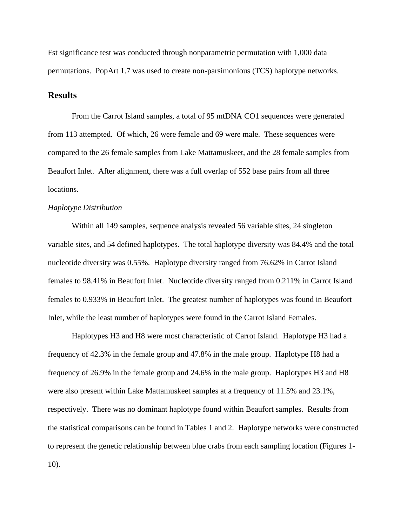Fst significance test was conducted through nonparametric permutation with 1,000 data permutations. PopArt 1.7 was used to create non-parsimonious (TCS) haplotype networks.

### **Results**

From the Carrot Island samples, a total of 95 mtDNA CO1 sequences were generated from 113 attempted. Of which, 26 were female and 69 were male. These sequences were compared to the 26 female samples from Lake Mattamuskeet, and the 28 female samples from Beaufort Inlet. After alignment, there was a full overlap of 552 base pairs from all three locations.

#### *Haplotype Distribution*

Within all 149 samples, sequence analysis revealed 56 variable sites, 24 singleton variable sites, and 54 defined haplotypes. The total haplotype diversity was 84.4% and the total nucleotide diversity was 0.55%. Haplotype diversity ranged from 76.62% in Carrot Island females to 98.41% in Beaufort Inlet. Nucleotide diversity ranged from 0.211% in Carrot Island females to 0.933% in Beaufort Inlet. The greatest number of haplotypes was found in Beaufort Inlet, while the least number of haplotypes were found in the Carrot Island Females.

Haplotypes H3 and H8 were most characteristic of Carrot Island. Haplotype H3 had a frequency of 42.3% in the female group and 47.8% in the male group. Haplotype H8 had a frequency of 26.9% in the female group and 24.6% in the male group. Haplotypes H3 and H8 were also present within Lake Mattamuskeet samples at a frequency of 11.5% and 23.1%, respectively. There was no dominant haplotype found within Beaufort samples. Results from the statistical comparisons can be found in Tables 1 and 2. Haplotype networks were constructed to represent the genetic relationship between blue crabs from each sampling location (Figures 1- 10).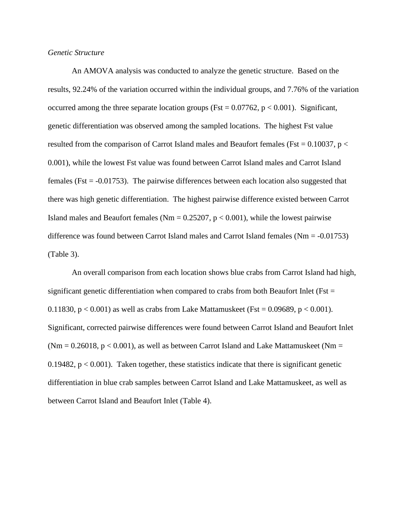#### *Genetic Structure*

An AMOVA analysis was conducted to analyze the genetic structure. Based on the results, 92.24% of the variation occurred within the individual groups, and 7.76% of the variation occurred among the three separate location groups (Fst =  $0.07762$ , p <  $0.001$ ). Significant, genetic differentiation was observed among the sampled locations. The highest Fst value resulted from the comparison of Carrot Island males and Beaufort females (Fst =  $0.10037$ , p < 0.001), while the lowest Fst value was found between Carrot Island males and Carrot Island females (Fst = -0.01753). The pairwise differences between each location also suggested that there was high genetic differentiation. The highest pairwise difference existed between Carrot Island males and Beaufort females ( $Nm = 0.25207$ ,  $p < 0.001$ ), while the lowest pairwise difference was found between Carrot Island males and Carrot Island females (Nm = -0.01753) (Table 3).

An overall comparison from each location shows blue crabs from Carrot Island had high, significant genetic differentiation when compared to crabs from both Beaufort Inlet ( $Fst =$ 0.11830,  $p < 0.001$ ) as well as crabs from Lake Mattamuskeet (Fst = 0.09689,  $p < 0.001$ ). Significant, corrected pairwise differences were found between Carrot Island and Beaufort Inlet ( $Nm = 0.26018$ ,  $p < 0.001$ ), as well as between Carrot Island and Lake Mattamuskeet ( $Nm =$ 0.19482,  $p < 0.001$ ). Taken together, these statistics indicate that there is significant genetic differentiation in blue crab samples between Carrot Island and Lake Mattamuskeet, as well as between Carrot Island and Beaufort Inlet (Table 4).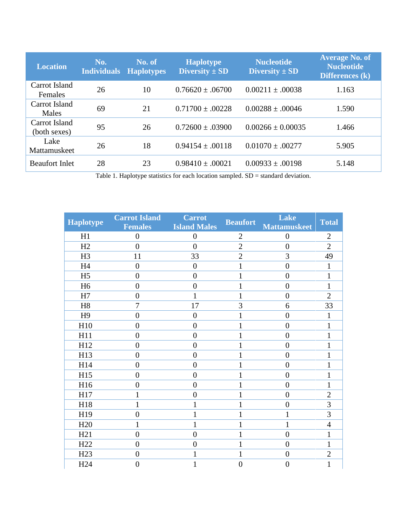| <b>Location</b>               | No.<br><b>Individuals</b> | No. of<br><b>Haplotypes</b> | <b>Haplotype</b><br>Diversity $\pm$ SD | <b>Nucleotide</b><br>Diversity $\pm$ SD | <b>Average No. of</b><br><b>Nucleotide</b><br>Differences (k) |
|-------------------------------|---------------------------|-----------------------------|----------------------------------------|-----------------------------------------|---------------------------------------------------------------|
| Carrot Island<br>Females      | 26                        | 10                          | $0.76620 \pm 0.06700$                  | $0.00211 \pm .00038$                    | 1.163                                                         |
| Carrot Island<br>Males        | 69                        | 21                          | $0.71700 \pm .00228$                   | $0.00288 \pm .00046$                    | 1.590                                                         |
| Carrot Island<br>(both sexes) | 95                        | 26                          | $0.72600 \pm 0.03900$                  | $0.00266 \pm 0.00035$                   | 1.466                                                         |
| Lake<br>Mattamuskeet          | 26                        | 18                          | $0.94154 \pm 0.00118$                  | $0.01070 \pm .00277$                    | 5.905                                                         |
| <b>Beaufort Inlet</b>         | 28                        | 23                          | $0.98410 \pm 0.00021$                  | $0.00933 \pm .00198$                    | 5.148                                                         |

Table 1. Haplotype statistics for each location sampled. SD = standard deviation.

| <b>Haplotype</b> | <b>Carrot Island</b><br><b>Females</b> | <b>Carrot</b><br><b>Island Males</b> | <b>Beaufort</b> | Lake<br><b>Mattamuskeet</b> | <b>Total</b>   |
|------------------|----------------------------------------|--------------------------------------|-----------------|-----------------------------|----------------|
| H1               | $\boldsymbol{0}$                       | $\boldsymbol{0}$                     | $\mathbf{2}$    | $\boldsymbol{0}$            | $\mathbf{2}$   |
| H2               | $\overline{0}$                         | $\overline{0}$                       | $\overline{2}$  | $\overline{0}$              | $\overline{2}$ |
| H <sub>3</sub>   | 11                                     | 33                                   | $\overline{2}$  | 3                           | 49             |
| H <sub>4</sub>   | $\overline{0}$                         | $\overline{0}$                       | 1               | $\overline{0}$              | 1              |
| H <sub>5</sub>   | $\overline{0}$                         | $\overline{0}$                       | $\mathbf{1}$    | $\overline{0}$              | $\mathbf{1}$   |
| H <sub>6</sub>   | $\overline{0}$                         | $\overline{0}$                       | 1               | $\overline{0}$              | $\mathbf{1}$   |
| H7               | $\boldsymbol{0}$                       | $\mathbf{1}$                         | $\mathbf{1}$    | $\overline{0}$              | $\overline{2}$ |
| H8               | $\overline{7}$                         | 17                                   | 3               | 6                           | 33             |
| H <sub>9</sub>   | $\boldsymbol{0}$                       | $\overline{0}$                       | $\mathbf{1}$    | $\overline{0}$              | $\mathbf{1}$   |
| H10              | $\overline{0}$                         | $\overline{0}$                       | $\mathbf{1}$    | $\overline{0}$              | $\mathbf{1}$   |
| H11              | $\overline{0}$                         | $\overline{0}$                       | 1               | $\overline{0}$              | $\mathbf{1}$   |
| H12              | $\overline{0}$                         | $\overline{0}$                       | 1               | $\overline{0}$              | $\mathbf{1}$   |
| H13              | $\boldsymbol{0}$                       | $\overline{0}$                       | 1               | $\overline{0}$              | $\mathbf{1}$   |
| H14              | $\overline{0}$                         | $\overline{0}$                       | $\mathbf{1}$    | $\overline{0}$              | $\mathbf{1}$   |
| H15              | $\overline{0}$                         | $\overline{0}$                       | 1               | $\overline{0}$              | $\mathbf{1}$   |
| H16              | $\overline{0}$                         | $\overline{0}$                       | $\mathbf{1}$    | $\overline{0}$              | $\mathbf{1}$   |
| H17              | $\mathbf{1}$                           | $\overline{0}$                       | $\mathbf{1}$    | $\overline{0}$              | $\overline{2}$ |
| H18              | $\mathbf{1}$                           | 1                                    | 1               | $\overline{0}$              | 3              |
| H19              | $\overline{0}$                         | 1                                    | $\mathbf{1}$    | 1                           | 3              |
| H20              | $\mathbf{1}$                           | 1                                    | 1               | 1                           | $\overline{4}$ |
| H21              | $\boldsymbol{0}$                       | $\overline{0}$                       | $\mathbf{1}$    | $\overline{0}$              | $\mathbf{1}$   |
| H <sub>22</sub>  | $\overline{0}$                         | $\overline{0}$                       | $\mathbf{1}$    | $\overline{0}$              | $\mathbf{1}$   |
| H <sub>23</sub>  | $\overline{0}$                         | $\mathbf{1}$                         | $\mathbf{1}$    | $\overline{0}$              | $\overline{c}$ |
| H <sub>24</sub>  | $\overline{0}$                         | 1                                    | $\overline{0}$  | $\overline{0}$              | $\mathbf{1}$   |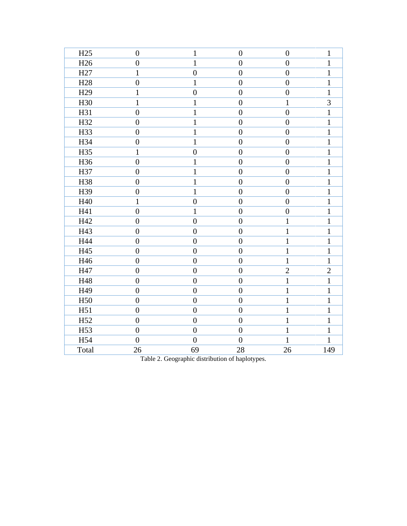| H25             | $\boldsymbol{0}$ | $\mathbf{1}$     | $\boldsymbol{0}$ | $\boldsymbol{0}$ | $\mathbf{1}$   |
|-----------------|------------------|------------------|------------------|------------------|----------------|
| H <sub>26</sub> | $\boldsymbol{0}$ | $\mathbf{1}$     | $\overline{0}$   | $\boldsymbol{0}$ | $\mathbf{1}$   |
| H <sub>27</sub> | $\mathbf{1}$     | $\boldsymbol{0}$ | $\boldsymbol{0}$ | $\boldsymbol{0}$ | $\mathbf{1}$   |
| H <sub>28</sub> | $\overline{0}$   | $\mathbf{1}$     | $\overline{0}$   | $\overline{0}$   | $\mathbf{1}$   |
| H <sub>29</sub> | $\mathbf{1}$     | $\boldsymbol{0}$ | $\boldsymbol{0}$ | $\boldsymbol{0}$ | $\mathbf{1}$   |
| H <sub>30</sub> | $\mathbf{1}$     | $\mathbf{1}$     | $\overline{0}$   | $\mathbf{1}$     | 3              |
| H31             | $\boldsymbol{0}$ | $\mathbf{1}$     | $\boldsymbol{0}$ | $\boldsymbol{0}$ | $\mathbf{1}$   |
| H32             | $\boldsymbol{0}$ | $\mathbf{1}$     | $\boldsymbol{0}$ | $\boldsymbol{0}$ | $\mathbf{1}$   |
| H33             | $\overline{0}$   | $\mathbf{1}$     | $\overline{0}$   | $\overline{0}$   | $\mathbf{1}$   |
| H34             | $\boldsymbol{0}$ | $\mathbf{1}$     | $\overline{0}$   | $\boldsymbol{0}$ | $\mathbf{1}$   |
| H35             | $\mathbf{1}$     | $\overline{0}$   | $\overline{0}$   | $\overline{0}$   | $\mathbf{1}$   |
| H36             | $\boldsymbol{0}$ | $\mathbf{1}$     | $\overline{0}$   | $\boldsymbol{0}$ | $\mathbf{1}$   |
| H37             | $\boldsymbol{0}$ | $\mathbf{1}$     | $\boldsymbol{0}$ | $\boldsymbol{0}$ | $\mathbf{1}$   |
| H38             | $\boldsymbol{0}$ | $\mathbf{1}$     | $\overline{0}$   | $\boldsymbol{0}$ | $\mathbf{1}$   |
| H39             | $\boldsymbol{0}$ | $\mathbf{1}$     | $\overline{0}$   | $\boldsymbol{0}$ | $\mathbf{1}$   |
| H40             | $\mathbf{1}$     | $\boldsymbol{0}$ | $\overline{0}$   | $\overline{0}$   | $\mathbf{1}$   |
| H41             | $\boldsymbol{0}$ | $\mathbf{1}$     | $\overline{0}$   | $\boldsymbol{0}$ | $\mathbf{1}$   |
| H42             | $\boldsymbol{0}$ | $\overline{0}$   | $\overline{0}$   | $\mathbf{1}$     | $\mathbf{1}$   |
| H43             | $\overline{0}$   | $\boldsymbol{0}$ | $\overline{0}$   | $\mathbf{1}$     | $\mathbf{1}$   |
| H44             | $\boldsymbol{0}$ | $\boldsymbol{0}$ | $\overline{0}$   | $\mathbf{1}$     | $\mathbf{1}$   |
| H45             | $\boldsymbol{0}$ | $\boldsymbol{0}$ | $\boldsymbol{0}$ | $\mathbf{1}$     | $\mathbf{1}$   |
| H46             | $\boldsymbol{0}$ | $\overline{0}$   | $\overline{0}$   | $\mathbf{1}$     | $\mathbf{1}$   |
| H47             | $\boldsymbol{0}$ | $\boldsymbol{0}$ | $\boldsymbol{0}$ | $\overline{2}$   | $\overline{2}$ |
| H48             | $\overline{0}$   | $\boldsymbol{0}$ | $\overline{0}$   | $\mathbf{1}$     | $\mathbf{1}$   |
| H49             | $\boldsymbol{0}$ | $\boldsymbol{0}$ | $\boldsymbol{0}$ | $\mathbf{1}$     | $\mathbf{1}$   |
| H <sub>50</sub> | $\boldsymbol{0}$ | $\boldsymbol{0}$ | $\overline{0}$   | $\mathbf{1}$     | $\mathbf{1}$   |
| H51             | $\boldsymbol{0}$ | $\overline{0}$   | $\overline{0}$   | $\mathbf{1}$     | $\mathbf{1}$   |
| H <sub>52</sub> | $\boldsymbol{0}$ | $\boldsymbol{0}$ | $\boldsymbol{0}$ | $\mathbf{1}$     | $\mathbf{1}$   |
| H <sub>53</sub> | $\overline{0}$   | $\boldsymbol{0}$ | $\overline{0}$   | $\mathbf{1}$     | $\mathbf{1}$   |
| H54             | $\boldsymbol{0}$ | $\boldsymbol{0}$ | $\boldsymbol{0}$ | $\mathbf{1}$     | $\mathbf{1}$   |
| Total           | 26               | 69               | 28               | 26               | 149            |
|                 |                  |                  |                  |                  |                |

Table 2. Geographic distribution of haplotypes.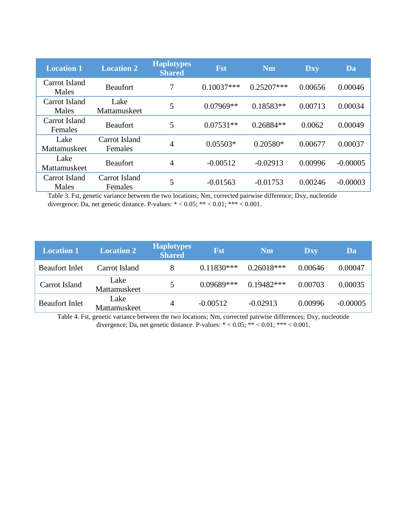| <b>Location 1</b>        | <b>Location 2</b>        | <b>Haplotypes</b><br><b>Shared</b> | <b>Fst</b>   | <b>Nm</b>    | <b>Dxy</b> | Da         |
|--------------------------|--------------------------|------------------------------------|--------------|--------------|------------|------------|
| Carrot Island<br>Males   | <b>Beaufort</b>          | 7                                  | $0.10037***$ | $0.25207***$ | 0.00656    | 0.00046    |
| Carrot Island<br>Males   | Lake<br>Mattamuskeet     | 5                                  | $0.07969**$  | $0.18583**$  | 0.00713    | 0.00034    |
| Carrot Island<br>Females | <b>Beaufort</b>          | 5                                  | $0.07531**$  | $0.26884**$  | 0.0062     | 0.00049    |
| Lake<br>Mattamuskeet     | Carrot Island<br>Females | 4                                  | $0.05503*$   | $0.20580*$   | 0.00677    | 0.00037    |
| Lake<br>Mattamuskeet     | <b>Beaufort</b>          | $\overline{4}$                     | $-0.00512$   | $-0.02913$   | 0.00996    | $-0.00005$ |
| Carrot Island<br>Males   | Carrot Island<br>Females | 5                                  | $-0.01563$   | $-0.01753$   | 0.00246    | $-0.00003$ |

Table 3. Fst, genetic variance between the two locations; Nm, corrected pairwise difference; Dxy, nucleotide divergence; Da, net genetic distance. P-values: \* < 0.05; \*\* < 0.01; \*\*\* < 0.001.

| <b>Location 1</b>     | <b>Location 2</b>    | <b>Haplotypes</b><br><b>Shared</b> | <b>Fst</b>   | <b>Nm</b>    | <b>Dxy</b> | Da         |
|-----------------------|----------------------|------------------------------------|--------------|--------------|------------|------------|
| <b>Beaufort Inlet</b> | Carrot Island        | 8                                  | $0.11830***$ | $0.26018***$ | 0.00646    | 0.00047    |
| Carrot Island         | Lake<br>Mattamuskeet | 5                                  | $0.09689***$ | $0.19482***$ | 0.00703    | 0.00035    |
| <b>Beaufort Inlet</b> | Lake<br>Mattamuskeet | 4                                  | $-0.00512$   | $-0.02913$   | 0.00996    | $-0.00005$ |

Table 4. Fst, genetic variance between the two locations; Nm, corrected pairwise differences; Dxy, nucleotide divergence; Da, net genetic distance. P-values: \* < 0.05; \*\* < 0.01; \*\*\* < 0.001.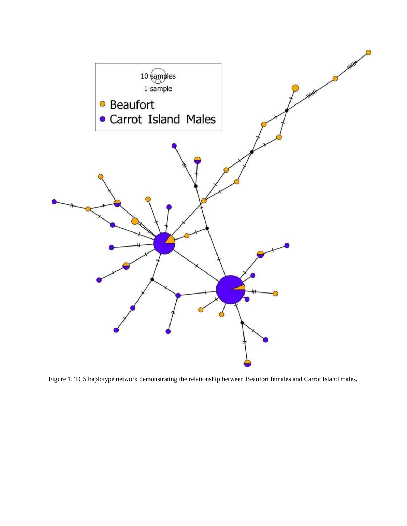

Figure 1. TCS haplotype network demonstrating the relationship between Beaufort females and Carrot Island males.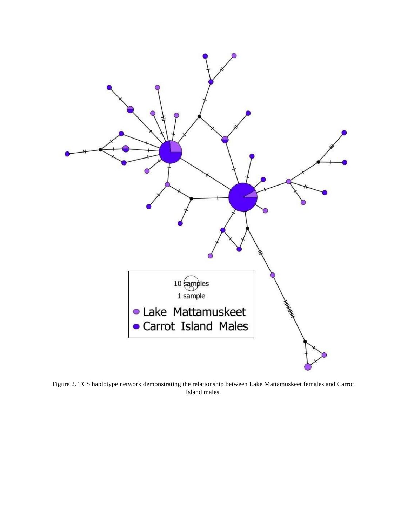

Figure 2. TCS haplotype network demonstrating the relationship between Lake Mattamuskeet females and Carrot Island males.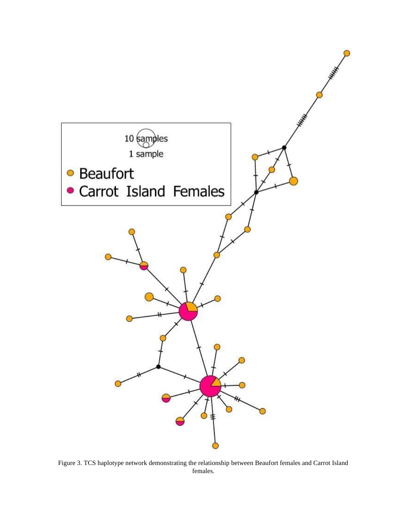

Figure 3. TCS haplotype network demonstrating the relationship between Beaufort females and Carrot Island females.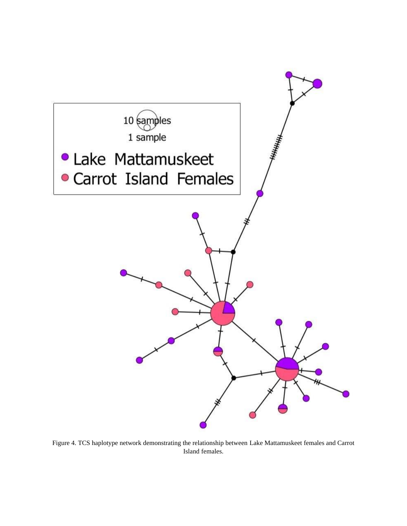

Figure 4. TCS haplotype network demonstrating the relationship between Lake Mattamuskeet females and Carrot Island females.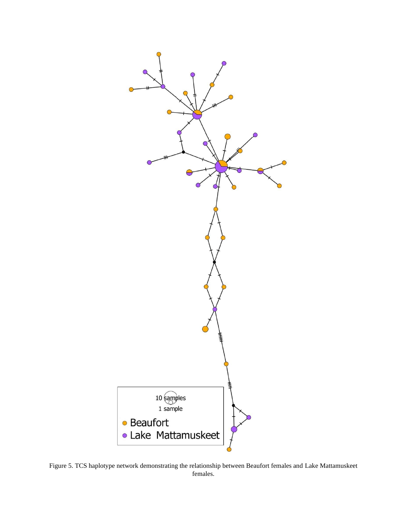

Figure 5. TCS haplotype network demonstrating the relationship between Beaufort females and Lake Mattamuskeet females.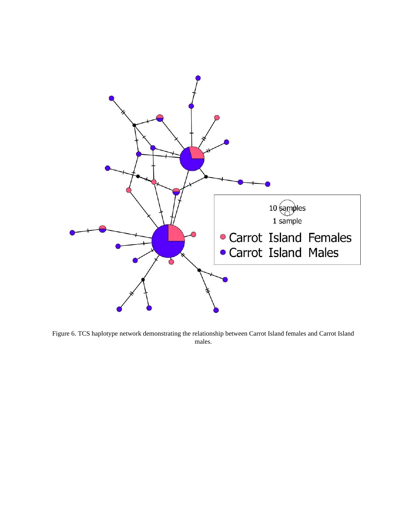

Figure 6. TCS haplotype network demonstrating the relationship between Carrot Island females and Carrot Island males.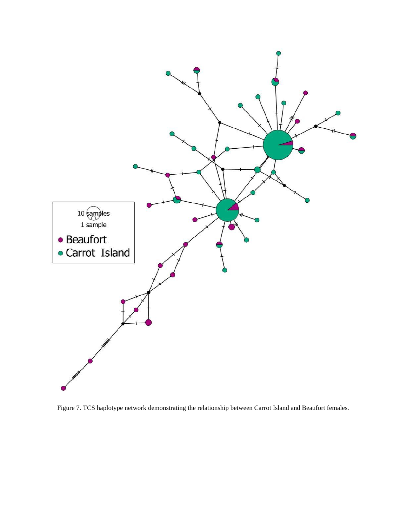

Figure 7. TCS haplotype network demonstrating the relationship between Carrot Island and Beaufort females.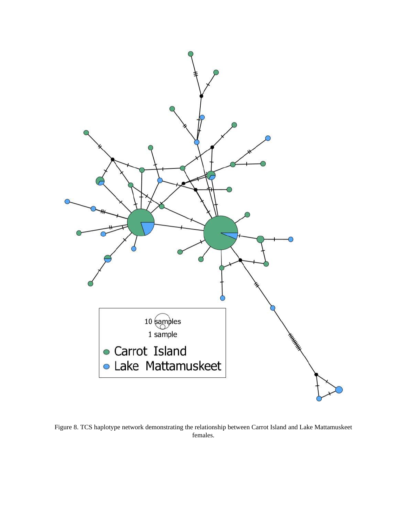

Figure 8. TCS haplotype network demonstrating the relationship between Carrot Island and Lake Mattamuskeet females.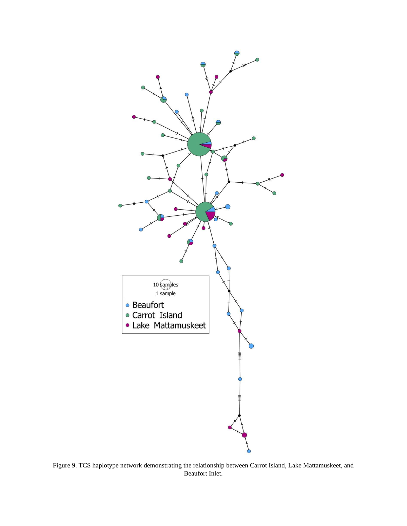

Figure 9. TCS haplotype network demonstrating the relationship between Carrot Island, Lake Mattamuskeet, and Beaufort Inlet.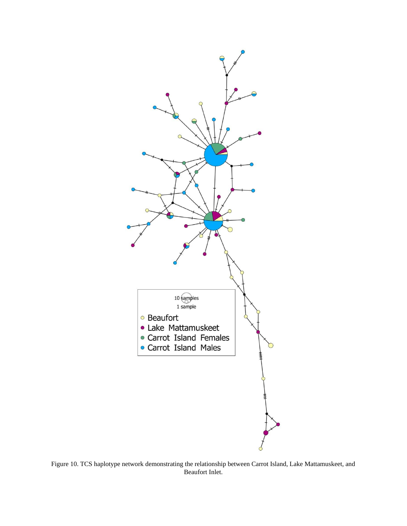

Figure 10. TCS haplotype network demonstrating the relationship between Carrot Island, Lake Mattamuskeet, and Beaufort Inlet.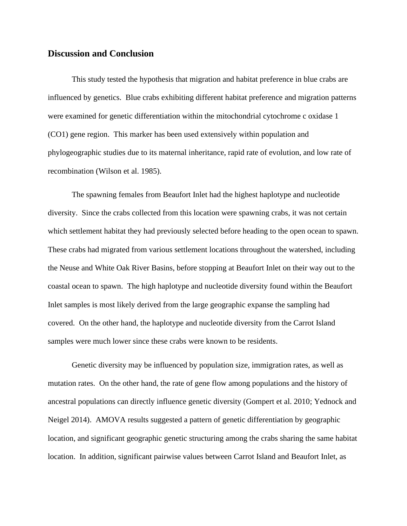### **Discussion and Conclusion**

This study tested the hypothesis that migration and habitat preference in blue crabs are influenced by genetics. Blue crabs exhibiting different habitat preference and migration patterns were examined for genetic differentiation within the mitochondrial cytochrome c oxidase 1 (CO1) gene region. This marker has been used extensively within population and phylogeographic studies due to its maternal inheritance, rapid rate of evolution, and low rate of recombination (Wilson et al. 1985).

The spawning females from Beaufort Inlet had the highest haplotype and nucleotide diversity. Since the crabs collected from this location were spawning crabs, it was not certain which settlement habitat they had previously selected before heading to the open ocean to spawn. These crabs had migrated from various settlement locations throughout the watershed, including the Neuse and White Oak River Basins, before stopping at Beaufort Inlet on their way out to the coastal ocean to spawn. The high haplotype and nucleotide diversity found within the Beaufort Inlet samples is most likely derived from the large geographic expanse the sampling had covered. On the other hand, the haplotype and nucleotide diversity from the Carrot Island samples were much lower since these crabs were known to be residents.

Genetic diversity may be influenced by population size, immigration rates, as well as mutation rates. On the other hand, the rate of gene flow among populations and the history of ancestral populations can directly influence genetic diversity (Gompert et al. 2010; Yednock and Neigel 2014). AMOVA results suggested a pattern of genetic differentiation by geographic location, and significant geographic genetic structuring among the crabs sharing the same habitat location. In addition, significant pairwise values between Carrot Island and Beaufort Inlet, as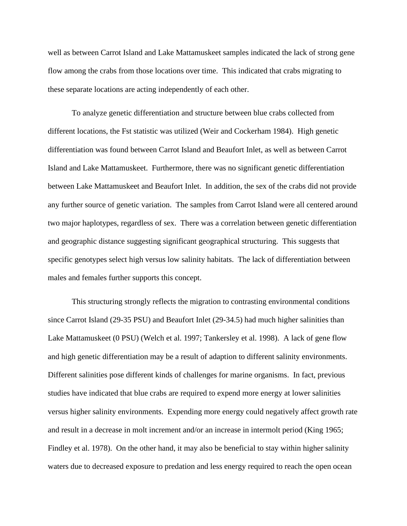well as between Carrot Island and Lake Mattamuskeet samples indicated the lack of strong gene flow among the crabs from those locations over time. This indicated that crabs migrating to these separate locations are acting independently of each other.

To analyze genetic differentiation and structure between blue crabs collected from different locations, the Fst statistic was utilized (Weir and Cockerham 1984). High genetic differentiation was found between Carrot Island and Beaufort Inlet, as well as between Carrot Island and Lake Mattamuskeet. Furthermore, there was no significant genetic differentiation between Lake Mattamuskeet and Beaufort Inlet. In addition, the sex of the crabs did not provide any further source of genetic variation. The samples from Carrot Island were all centered around two major haplotypes, regardless of sex. There was a correlation between genetic differentiation and geographic distance suggesting significant geographical structuring. This suggests that specific genotypes select high versus low salinity habitats. The lack of differentiation between males and females further supports this concept.

This structuring strongly reflects the migration to contrasting environmental conditions since Carrot Island (29-35 PSU) and Beaufort Inlet (29-34.5) had much higher salinities than Lake Mattamuskeet (0 PSU) (Welch et al. 1997; Tankersley et al. 1998). A lack of gene flow and high genetic differentiation may be a result of adaption to different salinity environments. Different salinities pose different kinds of challenges for marine organisms. In fact, previous studies have indicated that blue crabs are required to expend more energy at lower salinities versus higher salinity environments. Expending more energy could negatively affect growth rate and result in a decrease in molt increment and/or an increase in intermolt period (King 1965; Findley et al. 1978). On the other hand, it may also be beneficial to stay within higher salinity waters due to decreased exposure to predation and less energy required to reach the open ocean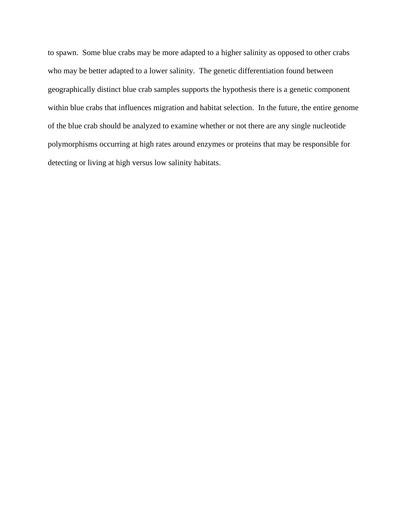to spawn. Some blue crabs may be more adapted to a higher salinity as opposed to other crabs who may be better adapted to a lower salinity. The genetic differentiation found between geographically distinct blue crab samples supports the hypothesis there is a genetic component within blue crabs that influences migration and habitat selection. In the future, the entire genome of the blue crab should be analyzed to examine whether or not there are any single nucleotide polymorphisms occurring at high rates around enzymes or proteins that may be responsible for detecting or living at high versus low salinity habitats.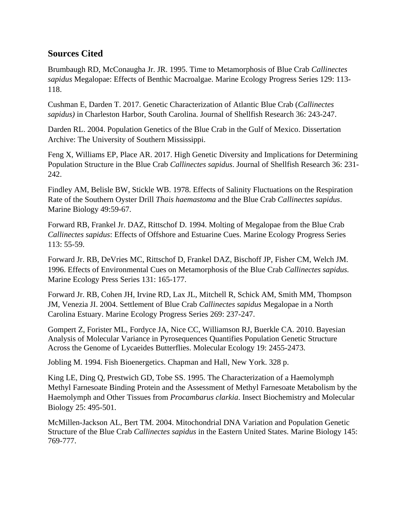# **Sources Cited**

Brumbaugh RD, McConaugha Jr. JR. 1995. Time to Metamorphosis of Blue Crab *Callinectes sapidus* Megalopae: Effects of Benthic Macroalgae. Marine Ecology Progress Series 129: 113- 118.

Cushman E, Darden T. 2017. Genetic Characterization of Atlantic Blue Crab (*Callinectes sapidus)* in Charleston Harbor, South Carolina. Journal of Shellfish Research 36: 243-247.

Darden RL. 2004. Population Genetics of the Blue Crab in the Gulf of Mexico. Dissertation Archive: The University of Southern Mississippi.

Feng X, Williams EP, Place AR. 2017. High Genetic Diversity and Implications for Determining Population Structure in the Blue Crab *Callinectes sapidus*. Journal of Shellfish Research 36: 231- 242.

Findley AM, Belisle BW, Stickle WB. 1978. Effects of Salinity Fluctuations on the Respiration Rate of the Southern Oyster Drill *Thais haemastoma* and the Blue Crab *Callinectes sapidus*. Marine Biology 49:59-67.

Forward RB, Frankel Jr. DAZ, Rittschof D. 1994. Molting of Megalopae from the Blue Crab *Callinectes sapidus*: Effects of Offshore and Estuarine Cues. Marine Ecology Progress Series 113: 55-59.

Forward Jr. RB, DeVries MC, Rittschof D, Frankel DAZ, Bischoff JP, Fisher CM, Welch JM. 1996. Effects of Environmental Cues on Metamorphosis of the Blue Crab *Callinectes sapidus.*  Marine Ecology Press Series 131: 165-177.

Forward Jr. RB, Cohen JH, Irvine RD, Lax JL, Mitchell R, Schick AM, Smith MM, Thompson JM, Venezia JI. 2004. Settlement of Blue Crab *Callinectes sapidus* Megalopae in a North Carolina Estuary. Marine Ecology Progress Series 269: 237-247.

Gompert Z, Forister ML, Fordyce JA, Nice CC, Williamson RJ, Buerkle CA. 2010. Bayesian Analysis of Molecular Variance in Pyrosequences Quantifies Population Genetic Structure Across the Genome of Lycaeides Butterflies. Molecular Ecology 19: 2455-2473.

Jobling M. 1994. Fish Bioenergetics. Chapman and Hall, New York. 328 p.

King LE, Ding Q, Prestwich GD, Tobe SS. 1995. The Characterization of a Haemolymph Methyl Farnesoate Binding Protein and the Assessment of Methyl Farnesoate Metabolism by the Haemolymph and Other Tissues from *Procambarus clarkia*. Insect Biochemistry and Molecular Biology 25: 495-501.

McMillen-Jackson AL, Bert TM. 2004. Mitochondrial DNA Variation and Population Genetic Structure of the Blue Crab *Callinectes sapidus* in the Eastern United States. Marine Biology 145: 769-777.